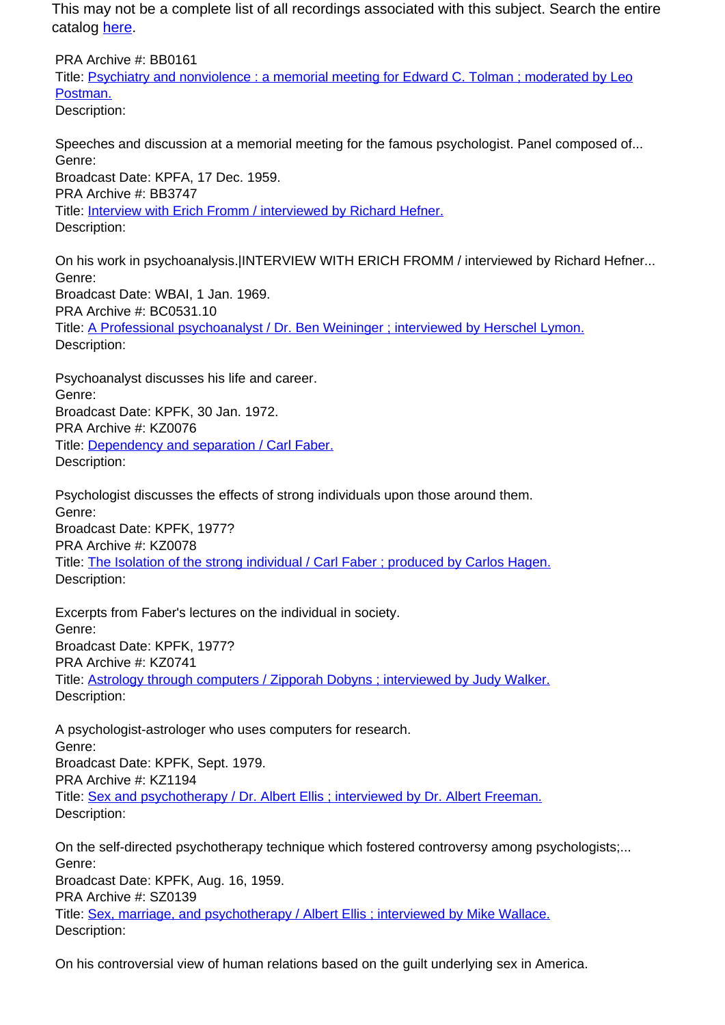This may not be a complete list of all recordings associated with this subject. Search the entire catalog [here.](http://pacificaradioarchives.org/keyword-search)

PRA Archive #: BB0161 Title: Psychiatry and nonviolence : a memorial meeting for Edward C. Tolman ; moderated by Leo Postman. Description:

Speeches and discussion at a memorial meeting for the famous psychologist. Panel composed of... Genre: Broadcast Date: KPFA, 17 Dec. 1959. PRA Archive #: BB3747 Title: Interview with Erich Fromm / interviewed by Richard Hefner. Description:

On his work in psychoanalysis.|INTERVIEW WITH ERICH FROMM / interviewed by Richard Hefner... Genre: Broadcast Date: WBAI, 1 Jan. 1969. PRA Archive #: BC0531.10 Title: A Professional psychoanalyst / Dr. Ben Weininger ; interviewed by Herschel Lymon. Description:

Psychoanalyst discusses his life and career. Genre: Broadcast Date: KPFK, 30 Jan. 1972. PRA Archive #: KZ0076 Title: Dependency and separation / Carl Faber. Description:

Psychologist discusses the effects of strong individuals upon those around them. Genre: Broadcast Date: KPFK, 1977? PRA Archive #: KZ0078 Title: The Isolation of the strong individual / Carl Faber ; produced by Carlos Hagen. Description:

Excerpts from Faber's lectures on the individual in society. Genre: Broadcast Date: KPFK, 1977? PRA Archive #: KZ0741 Title: Astrology through computers / Zipporah Dobyns ; interviewed by Judy Walker. Description:

A psychologist-astrologer who uses computers for research. Genre: Broadcast Date: KPFK, Sept. 1979. PRA Archive #: KZ1194 Title: Sex and psychotherapy / Dr. Albert Ellis ; interviewed by Dr. Albert Freeman. Description:

On the self-directed psychotherapy technique which fostered controversy among psychologists;... Genre: Broadcast Date: KPFK, Aug. 16, 1959. PRA Archive #: SZ0139 Title: Sex, marriage, and psychotherapy / Albert Ellis ; interviewed by Mike Wallace. Description:

On his controversial view of human relations based on the guilt underlying sex in America.